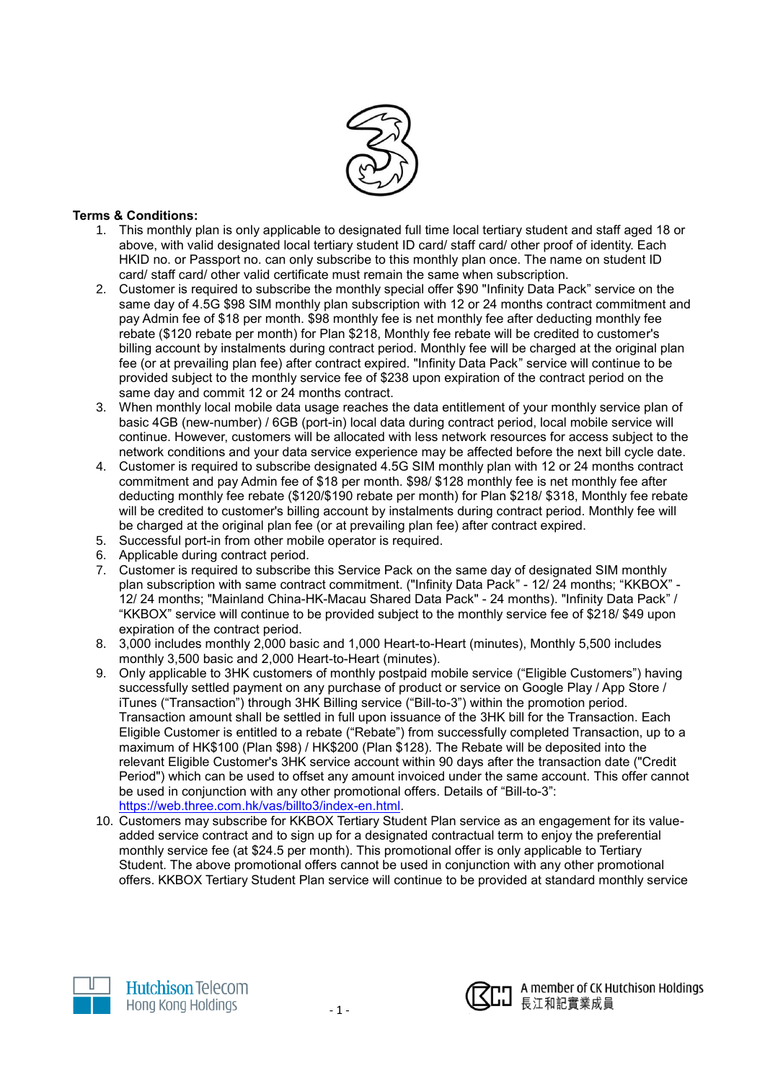

## **Terms & Conditions:**

- 1. This monthly plan is only applicable to designated full time local tertiary student and staff aged 18 or above, with valid designated local tertiary student ID card/ staff card/ other proof of identity. Each HKID no. or Passport no. can only subscribe to this monthly plan once. The name on student ID card/ staff card/ other valid certificate must remain the same when subscription.
- 2. Customer is required to subscribe the monthly special offer \$90 "Infinity Data Pack" service on the same day of 4.5G \$98 SIM monthly plan subscription with 12 or 24 months contract commitment and pay Admin fee of \$18 per month. \$98 monthly fee is net monthly fee after deducting monthly fee rebate (\$120 rebate per month) for Plan \$218, Monthly fee rebate will be credited to customer's billing account by instalments during contract period. Monthly fee will be charged at the original plan fee (or at prevailing plan fee) after contract expired. "Infinity Data Pack" service will continue to be provided subject to the monthly service fee of \$238 upon expiration of the contract period on the same day and commit 12 or 24 months contract.
- 3. When monthly local mobile data usage reaches the data entitlement of your monthly service plan of basic 4GB (new-number) / 6GB (port-in) local data during contract period, local mobile service will continue. However, customers will be allocated with less network resources for access subject to the network conditions and your data service experience may be affected before the next bill cycle date.
- 4. Customer is required to subscribe designated 4.5G SIM monthly plan with 12 or 24 months contract commitment and pay Admin fee of \$18 per month. \$98/ \$128 monthly fee is net monthly fee after deducting monthly fee rebate (\$120/\$190 rebate per month) for Plan \$218/ \$318, Monthly fee rebate will be credited to customer's billing account by instalments during contract period. Monthly fee will be charged at the original plan fee (or at prevailing plan fee) after contract expired.
- 5. Successful port-in from other mobile operator is required.
- 6. Applicable during contract period.
- 7. Customer is required to subscribe this Service Pack on the same day of designated SIM monthly plan subscription with same contract commitment. ("Infinity Data Pack" - 12/ 24 months; "KKBOX" - 12/ 24 months; "Mainland China-HK-Macau Shared Data Pack" - 24 months). "Infinity Data Pack" / "KKBOX" service will continue to be provided subject to the monthly service fee of \$218/ \$49 upon expiration of the contract period.
- 8. 3,000 includes monthly 2,000 basic and 1,000 Heart-to-Heart (minutes), Monthly 5,500 includes monthly 3,500 basic and 2,000 Heart-to-Heart (minutes).
- 9. Only applicable to 3HK customers of monthly postpaid mobile service ("Eligible Customers") having successfully settled payment on any purchase of product or service on Google Play / App Store / iTunes ("Transaction") through 3HK Billing service ("Bill-to-3") within the promotion period. Transaction amount shall be settled in full upon issuance of the 3HK bill for the Transaction. Each Eligible Customer is entitled to a rebate ("Rebate") from successfully completed Transaction, up to a maximum of HK\$100 (Plan \$98) / HK\$200 (Plan \$128). The Rebate will be deposited into the relevant Eligible Customer's 3HK service account within 90 days after the transaction date ("Credit Period") which can be used to offset any amount invoiced under the same account. This offer cannot be used in conjunction with any other promotional offers. Details of "Bill-to-3": [https://web.three.com.hk/vas/billto3/index-en.html.](https://web.three.com.hk/vas/billto3/index-en.html)
- 10. Customers may subscribe for KKBOX Tertiary Student Plan service as an engagement for its valueadded service contract and to sign up for a designated contractual term to enjoy the preferential monthly service fee (at \$24.5 per month). This promotional offer is only applicable to Tertiary Student. The above promotional offers cannot be used in conjunction with any other promotional offers. KKBOX Tertiary Student Plan service will continue to be provided at standard monthly service



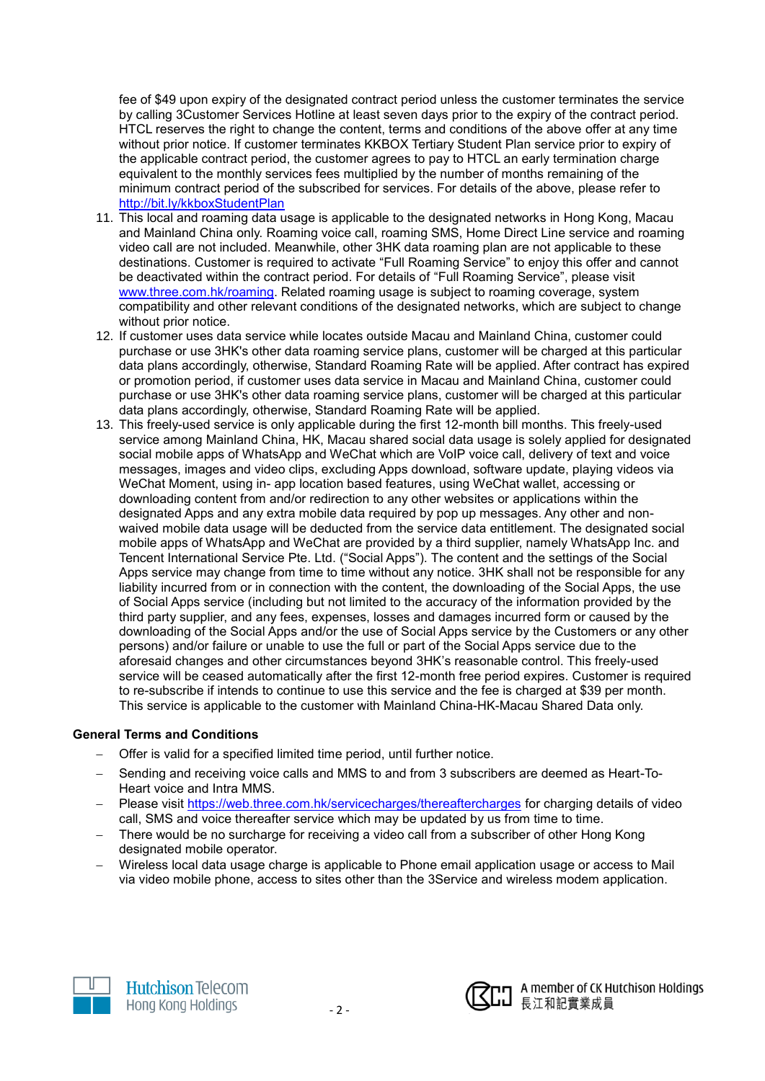fee of \$49 upon expiry of the designated contract period unless the customer terminates the service by calling 3Customer Services Hotline at least seven days prior to the expiry of the contract period. HTCL reserves the right to change the content, terms and conditions of the above offer at any time without prior notice. If customer terminates KKBOX Tertiary Student Plan service prior to expiry of the applicable contract period, the customer agrees to pay to HTCL an early termination charge equivalent to the monthly services fees multiplied by the number of months remaining of the minimum contract period of the subscribed for services. For details of the above, please refer to <http://bit.ly/kkboxStudentPlan>

- 11. This local and roaming data usage is applicable to the designated networks in Hong Kong, Macau and Mainland China only. Roaming voice call, roaming SMS, Home Direct Line service and roaming video call are not included. Meanwhile, other 3HK data roaming plan are not applicable to these destinations. Customer is required to activate "Full Roaming Service" to enjoy this offer and cannot be deactivated within the contract period. For details of "Full Roaming Service", please visit [www.three.com.hk/roaming.](http://www.three.com.hk/roaming) Related roaming usage is subject to roaming coverage, system compatibility and other relevant conditions of the designated networks, which are subject to change without prior notice.
- 12. If customer uses data service while locates outside Macau and Mainland China, customer could purchase or use 3HK's other data roaming service plans, customer will be charged at this particular data plans accordingly, otherwise, Standard Roaming Rate will be applied. After contract has expired or promotion period, if customer uses data service in Macau and Mainland China, customer could purchase or use 3HK's other data roaming service plans, customer will be charged at this particular data plans accordingly, otherwise, Standard Roaming Rate will be applied.
- 13. This freely-used service is only applicable during the first 12-month bill months. This freely-used service among Mainland China, HK, Macau shared social data usage is solely applied for designated social mobile apps of WhatsApp and WeChat which are VoIP voice call, delivery of text and voice messages, images and video clips, excluding Apps download, software update, playing videos via WeChat Moment, using in- app location based features, using WeChat wallet, accessing or downloading content from and/or redirection to any other websites or applications within the designated Apps and any extra mobile data required by pop up messages. Any other and nonwaived mobile data usage will be deducted from the service data entitlement. The designated social mobile apps of WhatsApp and WeChat are provided by a third supplier, namely WhatsApp Inc. and Tencent International Service Pte. Ltd. ("Social Apps"). The content and the settings of the Social Apps service may change from time to time without any notice. 3HK shall not be responsible for any liability incurred from or in connection with the content, the downloading of the Social Apps, the use of Social Apps service (including but not limited to the accuracy of the information provided by the third party supplier, and any fees, expenses, losses and damages incurred form or caused by the downloading of the Social Apps and/or the use of Social Apps service by the Customers or any other persons) and/or failure or unable to use the full or part of the Social Apps service due to the aforesaid changes and other circumstances beyond 3HK's reasonable control. This freely-used service will be ceased automatically after the first 12-month free period expires. Customer is required to re-subscribe if intends to continue to use this service and the fee is charged at \$39 per month. This service is applicable to the customer with Mainland China-HK-Macau Shared Data only.

## **General Terms and Conditions**

- Offer is valid for a specified limited time period, until further notice.
- Sending and receiving voice calls and MMS to and from 3 subscribers are deemed as Heart-To-Heart voice and Intra MMS.
- Please visit<https://web.three.com.hk/servicecharges/thereaftercharges> for charging details of video call, SMS and voice thereafter service which may be updated by us from time to time.
- There would be no surcharge for receiving a video call from a subscriber of other Hong Kong designated mobile operator.
- Wireless local data usage charge is applicable to Phone email application usage or access to Mail via video mobile phone, access to sites other than the 3Service and wireless modem application.